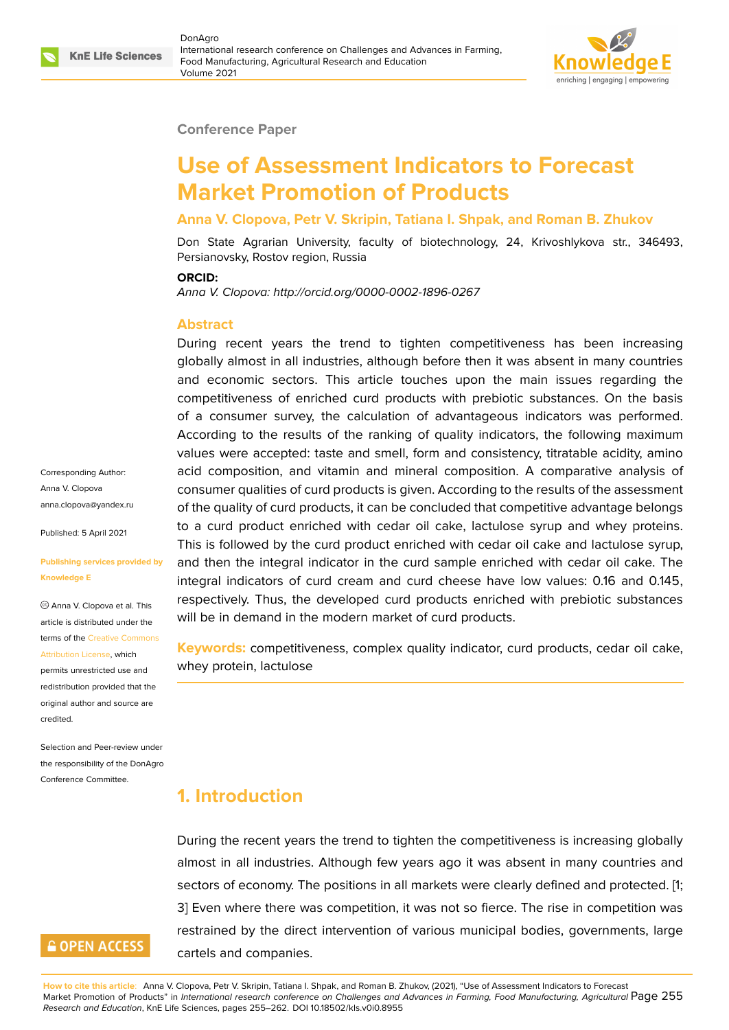

#### **Conference Paper**

# **Use of Assessment Indicators to Forecast Market Promotion of Products**

### **Anna V. Clopova, Petr V. Skripin, Tatiana I. Shpak, and Roman B. Zhukov**

Don State Agrarian University, faculty of biotechnology, 24, Krivoshlykova str., 346493, Persianovsky, Rostov region, Russia

#### **ORCID:**

*Anna V. Clopova: http://orcid.org/0000-0002-1896-0267*

#### **Abstract**

During recent years the trend to tighten competitiveness has been increasing globally almost in all industries, although before then it was absent in many countries and economic sectors. This article touches upon the main issues regarding the competitiveness of enriched curd products with prebiotic substances. On the basis of a consumer survey, the calculation of advantageous indicators was performed. According to the results of the ranking of quality indicators, the following maximum values were accepted: taste and smell, form and consistency, titratable acidity, amino acid composition, and vitamin and mineral composition. A comparative analysis of consumer qualities of curd products is given. According to the results of the assessment of the quality of curd products, it can be concluded that competitive advantage belongs to a curd product enriched with cedar oil cake, lactulose syrup and whey proteins. This is followed by the curd product enriched with cedar oil cake and lactulose syrup, and then the integral indicator in the curd sample enriched with cedar oil cake. The integral indicators of curd cream and curd cheese have low values: 0.16 and 0.145, respectively. Thus, the developed curd products enriched with prebiotic substances will be in demand in the modern market of curd products.

**Keywords:** competitiveness, complex quality indicator, curd products, cedar oil cake, whey protein, lactulose

## **1. Introduction**

During the recent years the trend to tighten the competitiveness is increasing globally almost in all industries. Although few years ago it was absent in many countries and sectors of economy. The positions in all markets were clearly defined and protected. [1; 3] Even where there was competition, it was not so fierce. The rise in competition was restrained by the direct intervention of various municipal bodies, governments, large cartels and companies.

**How to cite this article**: Anna V. Clopova, Petr V. Skripin, Tatiana I. Shpak, and Roman B. Zhukov, (2021), "Use of Assessment Indicators to Forecast Market Promotion of Products" in *International research conference on Challenges and Advances in Farming, Food Manufacturing, Agricultural* Page 255 *Research and Education*, KnE Life Sciences, pages 255–262. DOI 10.18502/kls.v0i0.8955

Corresponding Author: Anna V. Clopova anna.clopova@yandex.ru

Published: 5 April 2021

#### **[Publishing services prov](mailto:anna.clopova@yandex.ru)ided by Knowledge E**

Anna V. Clopova et al. This article is distributed under the terms of the Creative Commons Attribution License, which

permits unrestricted use and redistribution provided that the original auth[or and source are](https://creativecommons.org/licenses/by/4.0/) [credited.](https://creativecommons.org/licenses/by/4.0/)

Selection and Peer-review under the responsibility of the DonAgro Conference Committee.

# **GOPEN ACCESS**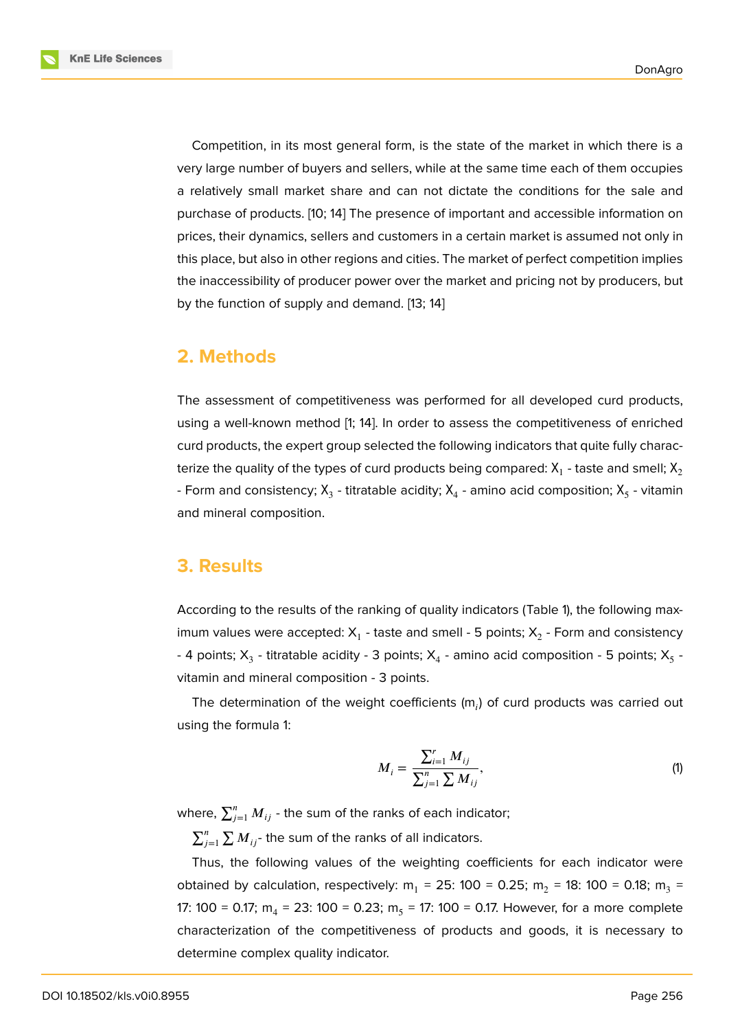**KnE Life Sciences** 

Competition, in its most general form, is the state of the market in which there is a very large number of buyers and sellers, while at the same time each of them occupies a relatively small market share and can not dictate the conditions for the sale and purchase of products. [10; 14] The presence of important and accessible information on prices, their dynamics, sellers and customers in a certain market is assumed not only in this place, but also in other regions and cities. The market of perfect competition implies the inaccessibility of producer power over the market and pricing not by producers, but by the function of supply and demand. [13; 14]

### **2. Methods**

The assessment of competitiveness was performed for all developed curd products, using a well-known method [1; 14]. In order to assess the competitiveness of enriched curd products, the expert group selected the following indicators that quite fully characterize the quality of the types of curd products being compared:  $\mathsf{X}_1$  - taste and smell;  $\mathsf{X}_2$ - Form and consistency;  $\mathsf{X}_3$  - titratable acidity;  $\mathsf{X}_4$  - amino acid composition;  $\mathsf{X}_5$  - vitamin and mineral composition.

### **3. Results**

According to the results of the ranking of quality indicators (Table 1), the following maximum values were accepted:  $\mathsf{X}_1$  - taste and smell - 5 points;  $\mathsf{X}_2$  - Form and consistency - 4 points;  $\mathsf{X}_3$  - titratable acidity - 3 points;  $\mathsf{X}_4$  - amino acid composition - 5 points;  $\mathsf{X}_5$  vitamin and mineral composition - 3 points.

The determination of the weight coefficients  $(m<sub>i</sub>)$  of curd products was carried out using the formula 1:

$$
M_{i} = \frac{\sum_{i=1}^{r} M_{ij}}{\sum_{j=1}^{n} \sum M_{ij}},
$$
\n(1)

where,  $\sum_{j=1}^n M_{ij}$  - the sum of the ranks of each indicator;

 $\sum_{j=1}^n\sum M_{ij}$ - the sum of the ranks of all indicators.

Thus, the following values of the weighting coefficients for each indicator were obtained by calculation, respectively: m<sub>1</sub> = 25: 100 = 0.25; m<sub>2</sub> = 18: 100 = 0.18; m<sub>3</sub> = 17: 100 = 0.17; m $_{4}$  = 23: 100 = 0.23; m $_{5}$  = 17: 100 = 0.17. However, for a more complete characterization of the competitiveness of products and goods, it is necessary to determine complex quality indicator.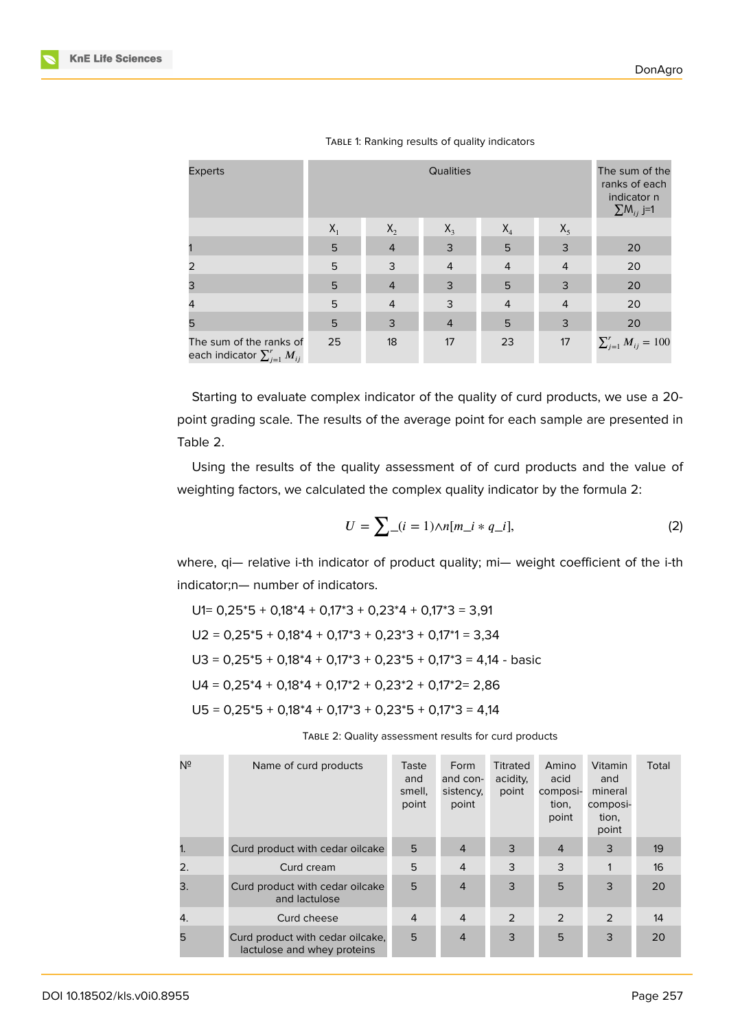| <b>Experts</b>                                                  |                 | The sum of the<br>ranks of each<br>indicator n<br>$\sum M_{ij}$ j=1 |                |                |                |                             |
|-----------------------------------------------------------------|-----------------|---------------------------------------------------------------------|----------------|----------------|----------------|-----------------------------|
|                                                                 | $X_1$           | $X_2$                                                               | $X_3$          | $X_4$          | $X_5$          |                             |
|                                                                 | 5               | $\overline{4}$                                                      | 3              | 5              | 3              | 20                          |
| 2                                                               | 5               | $\mathsf{3}$                                                        | $\overline{4}$ | $\overline{4}$ | $\overline{4}$ | 20                          |
| 3                                                               | $5\phantom{.0}$ | $\overline{4}$                                                      | $\mathsf{3}$   | 5              | 3              | 20                          |
| $\overline{4}$                                                  | 5               | $\overline{4}$                                                      | 3              | $\overline{4}$ | $\overline{4}$ | 20                          |
| 5                                                               | 5               | $\mathsf{3}$                                                        | $\overline{4}$ | 5              | 3              | 20                          |
| The sum of the ranks of<br>each indicator $\sum_{j=1}^r M_{ij}$ | 25              | 18                                                                  | 17             | 23             | 17             | $\sum_{j=1}^r M_{ij} = 100$ |

TABLE 1: Ranking results of quality indicators

Starting to evaluate complex indicator of the quality of curd products, we use a 20 point grading scale. The results of the average point for each sample are presented in Table 2.

Using the results of the quality assessment of of curd products and the value of weighting factors, we calculated the complex quality indicator by the formula 2:

$$
U = \sum_{i} (i = 1) \wedge n[m_i * q_i],
$$
 (2)

where, qi— relative i-th indicator of product quality; mi— weight coefficient of the i-th indicator;n— number of indicators.

$$
U1= 0,25*5 + 0,18*4 + 0,17*3 + 0,23*4 + 0,17*3 = 3,91
$$
\n
$$
U2 = 0,25*5 + 0,18*4 + 0,17*3 + 0,23*3 + 0,17*1 = 3,34
$$
\n
$$
U3 = 0,25*5 + 0,18*4 + 0,17*3 + 0,23*5 + 0,17*3 = 4,14 - basic
$$
\n
$$
U4 = 0,25*4 + 0,18*4 + 0,17*2 + 0,23*2 + 0,17*2 = 2,86
$$
\n
$$
U5 = 0,25*5 + 0,18*4 + 0,17*3 + 0,23*5 + 0,17*3 = 4,14
$$

TABLE 2: Quality assessment results for curd products

| Nº | Name of curd products                                           | Taste<br>and<br>smell,<br>point | Form<br>and con-<br>sistency.<br>point | <b>Titrated</b><br>acidity,<br>point | Amino<br>acid<br>composi-<br>tion,<br>point | Vitamin<br>and<br>mineral<br>composi-<br>tion,<br>point | Total |
|----|-----------------------------------------------------------------|---------------------------------|----------------------------------------|--------------------------------------|---------------------------------------------|---------------------------------------------------------|-------|
| 1. | Curd product with cedar oilcake                                 | 5                               | $\overline{4}$                         | 3                                    | $\overline{4}$                              | 3                                                       | 19    |
| 2. | Curd cream                                                      | 5                               | $\overline{4}$                         | 3                                    | 3                                           | 1                                                       | 16    |
| 3. | Curd product with cedar oilcake<br>and lactulose                | 5                               | $\overline{4}$                         | 3                                    | 5                                           | 3                                                       | 20    |
| 4. | Curd cheese                                                     | $\overline{4}$                  | $\overline{4}$                         | 2                                    | $\mathcal{P}$                               | 2                                                       | 14    |
| 5  | Curd product with cedar oilcake,<br>lactulose and whey proteins | 5                               | $\overline{4}$                         | 3                                    | 5                                           | 3                                                       | 20    |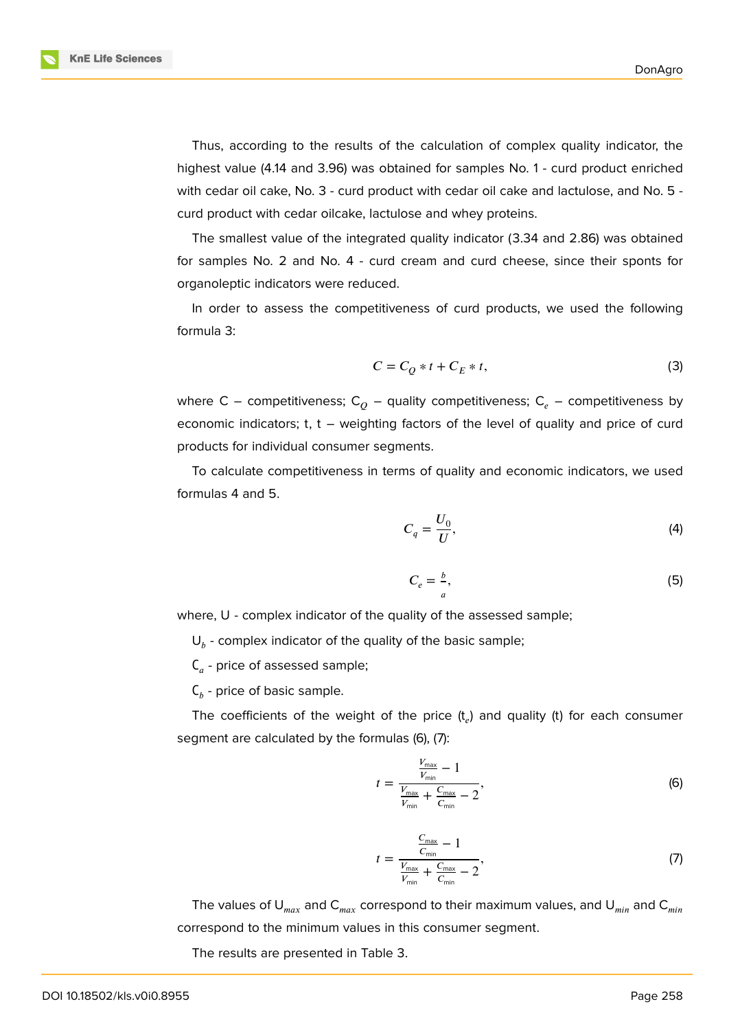Thus, according to the results of the calculation of complex quality indicator, the highest value (4.14 and 3.96) was obtained for samples No. 1 - curd product enriched with cedar oil cake, No. 3 - curd product with cedar oil cake and lactulose, and No. 5 curd product with cedar oilcake, lactulose and whey proteins.

The smallest value of the integrated quality indicator (3.34 and 2.86) was obtained for samples No. 2 and No. 4 - curd cream and curd cheese, since their sponts for organoleptic indicators were reduced.

In order to assess the competitiveness of curd products, we used the following formula 3:

$$
C = C_Q * t + C_E * t,\tag{3}
$$

where C – competitiveness; C<sub>o</sub> – quality competitiveness; C<sub>e</sub> – competitiveness by economic indicators; t, t – weighting factors of the level of quality and price of curd products for individual consumer segments.

To calculate competitiveness in terms of quality and economic indicators, we used formulas 4 and 5.

$$
C_q = \frac{U_0}{U},\tag{4}
$$

$$
C_e = \frac{b}{a},\tag{5}
$$

where, U - complex indicator of the quality of the assessed sample;

 $\mathsf{U}_b$  - complex indicator of the quality of the basic sample;

 $\bm{\mathsf{C}}_a$  - price of assessed sample;

 $\mathsf{C}_b$  - price of basic sample.

The coefficients of the weight of the price  $(t_e)$  and quality (t) for each consumer segment are calculated by the formulas (6), (7):

$$
t = \frac{\frac{V_{\text{max}}}{V_{\text{min}}} - 1}{\frac{V_{\text{max}}}{V_{\text{min}}} + \frac{C_{\text{max}}}{C_{\text{min}}} - 2},\tag{6}
$$

$$
t = \frac{\frac{C_{\text{max}}}{C_{\text{min}}} - 1}{\frac{V_{\text{max}}}{V_{\text{min}}} + \frac{C_{\text{max}}}{C_{\text{min}}} - 2},\tag{7}
$$

The values of  $U_{max}$  and  $C_{max}$  correspond to their maximum values, and  $U_{min}$  and  $C_{min}$ correspond to the minimum values in this consumer segment.

The results are presented in Table 3.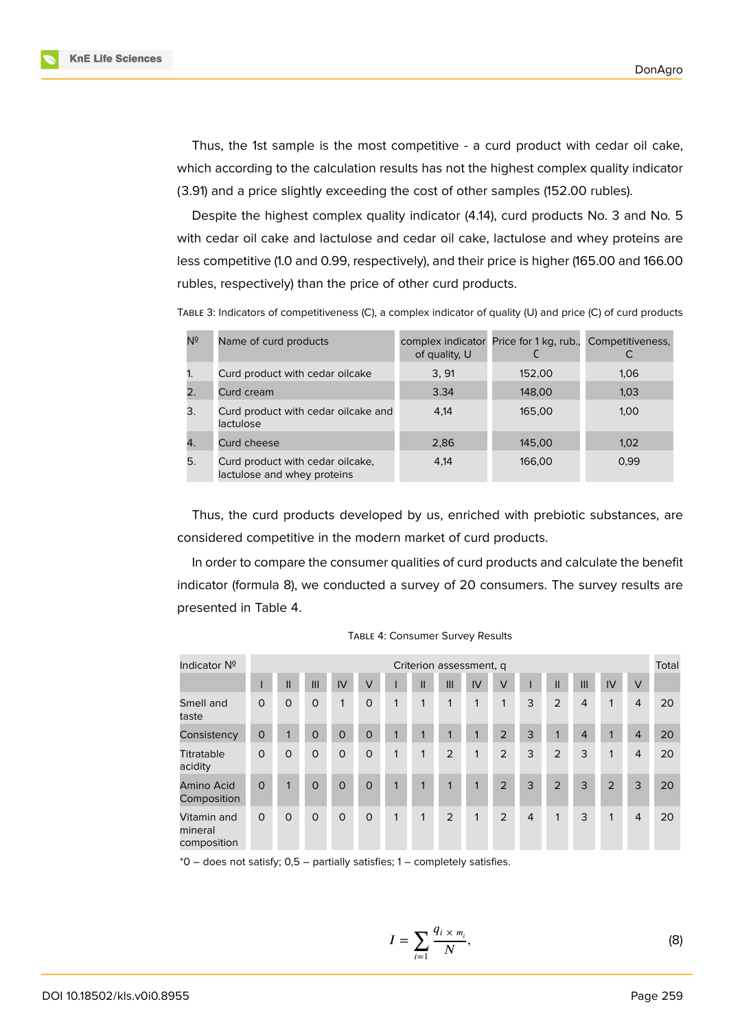**KnE Life Sciences** 

Thus, the 1st sample is the most competitive - a curd product with cedar oil cake, which according to the calculation results has not the highest complex quality indicator (3.91) and a price slightly exceeding the cost of other samples (152.00 rubles).

Despite the highest complex quality indicator (4.14), curd products No. 3 and No. 5 with cedar oil cake and lactulose and cedar oil cake, lactulose and whey proteins are less competitive (1.0 and 0.99, respectively), and their price is higher (165.00 and 166.00 rubles, respectively) than the price of other curd products.

TABLE 3: Indicators of competitiveness (C), a complex indicator of quality (U) and price (C) of curd products

| Nº | Name of curd products                                           | of quality, U | complex indicator Price for 1 kg, rub., | Competitiveness, |
|----|-----------------------------------------------------------------|---------------|-----------------------------------------|------------------|
| 1. | Curd product with cedar oilcake                                 | 3.91          | 152,00                                  | 1.06             |
|    | Curd cream                                                      | 3.34          | 148,00                                  | 1,03             |
| 3. | Curd product with cedar oilcake and<br>lactulose                | 4.14          | 165,00                                  | 1.00             |
| 4. | Curd cheese                                                     | 2,86          | 145,00                                  | 1.02             |
| 5. | Curd product with cedar oilcake,<br>lactulose and whey proteins | 4.14          | 166,00                                  | 0.99             |

Thus, the curd products developed by us, enriched with prebiotic substances, are considered competitive in the modern market of curd products.

In order to compare the consumer qualities of curd products and calculate the benefit indicator (formula 8), we conducted a survey of 20 consumers. The survey results are presented in Table 4.

| Indicator Nº                           | Criterion assessment, q |              |             |          |             |             |              |     |    | Total  |                |              |                |             |                |    |
|----------------------------------------|-------------------------|--------------|-------------|----------|-------------|-------------|--------------|-----|----|--------|----------------|--------------|----------------|-------------|----------------|----|
|                                        |                         | $\mathbf{I}$ | III         | IV       | $\vee$      |             | $\mathsf{I}$ | III | IV | $\vee$ |                | $\mathsf{I}$ | III            | IV          | $\vee$         |    |
| Smell and<br>taste                     | $\circ$                 | $\circ$      | $\mathbf 0$ | 1        | $\circ$     | 1           | 1            | 1   | 1  | 1      | 3              | 2            | $\overline{4}$ | $\mathbf 1$ | $\overline{4}$ | 20 |
| Consistency                            | $\mathbf 0$             | $\mathbf{1}$ | $\mathbf 0$ | $\circ$  | $\mathbf 0$ | 1           | 1            | 1   | 1  | 2      | 3              | $\mathbf{1}$ | $\overline{4}$ |             | $\overline{4}$ | 20 |
| <b>Titratable</b><br>acidity           | $\mathbf 0$             | $\mathsf{O}$ | $\mathbf 0$ | $\circ$  | $\mathbf 0$ | 1           | 1            | 2   | 1  | 2      | 3              | 2            | 3              | $\mathbf 1$ | $\overline{4}$ | 20 |
| Amino Acid<br>Composition <sup>1</sup> | $\Omega$                | 1            | $\Omega$    | $\Omega$ | $\Omega$    | $\mathbf 1$ | $\mathbf 1$  | 1   | 1  | 2      | 3              | 2            | 3              | 2           | 3              | 20 |
| Vitamin and<br>mineral<br>composition  | $\circ$                 | $\circ$      | $\circ$     | $\circ$  | $\circ$     | 1           | 1            | 2   | 1  | 2      | $\overline{4}$ | 1            | 3              | $\mathbf 1$ | $\overline{4}$ | 20 |

TABLE 4: Consumer Survey Results

\*0 – does not satisfy; 0,5 – partially satisfies; 1 – completely satisfies.

$$
I = \sum_{i=1}^{\infty} \frac{q_i \times m_i}{N},\tag{8}
$$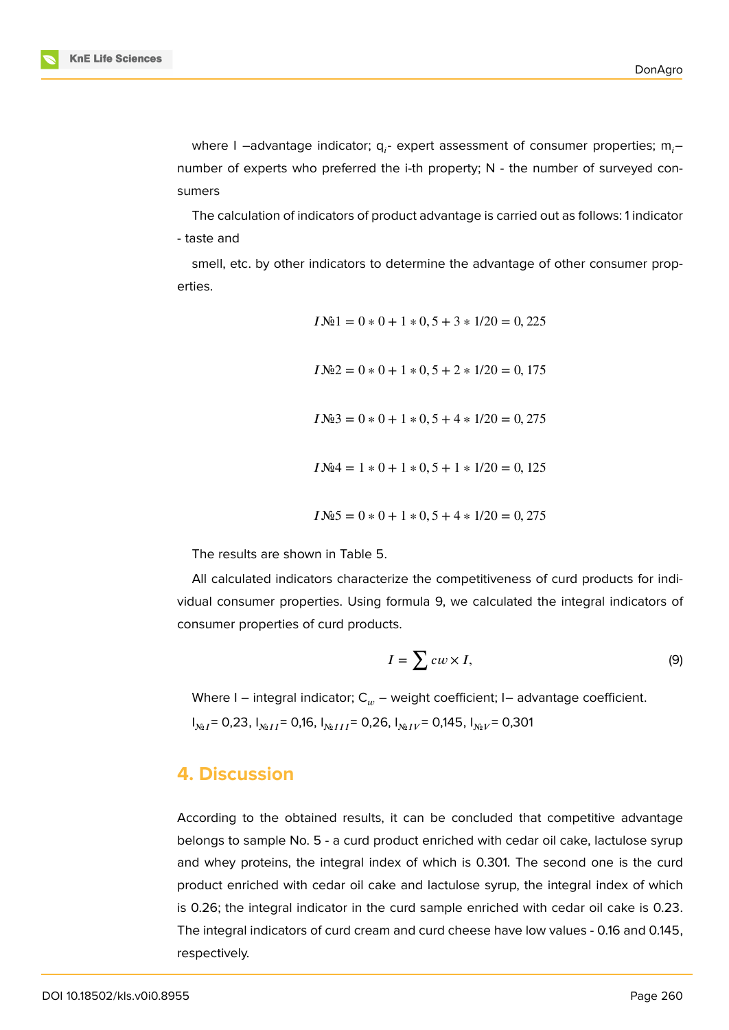

where I –advantage indicator;  $\mathsf{q}_{i}$ - expert assessment of consumer properties;  $\mathsf{m}_{i}$ – number of experts who preferred the i-th property; N - the number of surveyed consumers

The calculation of indicators of product advantage is carried out as follows: 1 indicator - taste and

smell, etc. by other indicators to determine the advantage of other consumer properties.

> $IN@1 = 0 * 0 + 1 * 0, 5 + 3 * 1/20 = 0, 225$  $IN2 = 0 * 0 + 1 * 0.5 + 2 * 1/20 = 0.175$  $IN@3 = 0 * 0 + 1 * 0.5 + 4 * 1/20 = 0.275$  $IN@4 = 1 * 0 + 1 * 0, 5 + 1 * 1/20 = 0, 125$  $IN_25 = 0 * 0 + 1 * 0, 5 + 4 * 1/20 = 0,275$

The results are shown in Table 5.

All calculated indicators characterize the competitiveness of curd products for individual consumer properties. Using formula 9, we calculated the integral indicators of consumer properties of curd products.

$$
I = \sum c w \times I,\tag{9}
$$

Where I – integral indicator;  $C_w$  – weight coefficient; I– advantage coefficient.

 $I_{\text{Ne}}$  = 0,23,  $I_{\text{Ne}}$   $I = 0.16$ ,  $I_{\text{Ne}}$   $I = 0.26$ ,  $I_{\text{Ne}}$   $I = 0.145$ ,  $I_{\text{Ne}}$   $I = 0.301$ 

### **4. Discussion**

According to the obtained results, it can be concluded that competitive advantage belongs to sample No. 5 - a curd product enriched with cedar oil cake, lactulose syrup and whey proteins, the integral index of which is 0.301. The second one is the curd product enriched with cedar oil cake and lactulose syrup, the integral index of which is 0.26; the integral indicator in the curd sample enriched with cedar oil cake is 0.23. The integral indicators of curd cream and curd cheese have low values - 0.16 and 0.145, respectively.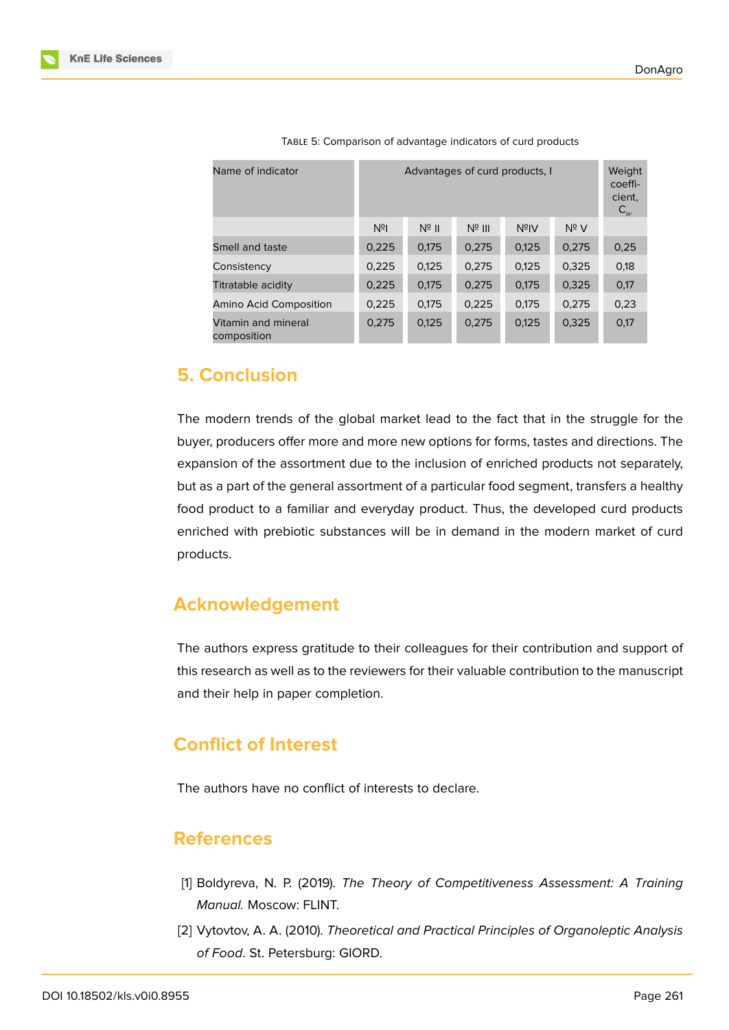| Name of indicator                  | Advantages of curd products, I                                               | Weight<br>coeffi-<br>cient,<br>$\mathsf{C}_w$ |       |       |       |      |  |  |  |  |
|------------------------------------|------------------------------------------------------------------------------|-----------------------------------------------|-------|-------|-------|------|--|--|--|--|
|                                    | $N^{\circ}$ V<br>N <sup>2</sup><br>$N^{\circ}$ II<br>$N^{\circ}$ III<br>NºIV |                                               |       |       |       |      |  |  |  |  |
| Smell and taste                    | 0,225                                                                        | 0,175                                         | 0,275 | 0,125 | 0,275 | 0,25 |  |  |  |  |
| Consistency                        | 0,225                                                                        | 0,125                                         | 0,275 | 0.125 | 0,325 | 0,18 |  |  |  |  |
| Titratable acidity                 | 0,225                                                                        | 0,175                                         | 0,275 | 0,175 | 0,325 | 0,17 |  |  |  |  |
| Amino Acid Composition             | 0,225                                                                        | 0,175                                         | 0,225 | 0.175 | 0.275 | 0,23 |  |  |  |  |
| Vitamin and mineral<br>composition | 0,275                                                                        | 0,125                                         | 0,275 | 0,125 | 0,325 | 0,17 |  |  |  |  |

TABLE 5: Comparison of advantage indicators of curd products

# **5. Conclusion**

The modern trends of the global market lead to the fact that in the struggle for the buyer, producers offer more and more new options for forms, tastes and directions. The expansion of the assortment due to the inclusion of enriched products not separately, but as a part of the general assortment of a particular food segment, transfers a healthy food product to a familiar and everyday product. Thus, the developed curd products enriched with prebiotic substances will be in demand in the modern market of curd products.

# **Acknowledgement**

The authors express gratitude to their colleagues for their contribution and support of this research as well as to the reviewers for their valuable contribution to the manuscript and their help in paper completion.

# **Conflict of Interest**

The authors have no conflict of interests to declare.

### **References**

- [1] Boldyreva, N. P. (2019). *The Theory of Competitiveness Assessment: A Training Manual.* Moscow: FLINT.
- [2] Vytovtov, A. A. (2010). *Theoretical and Practical Principles of Organoleptic Analysis of Food*. St. Petersburg: GIORD.